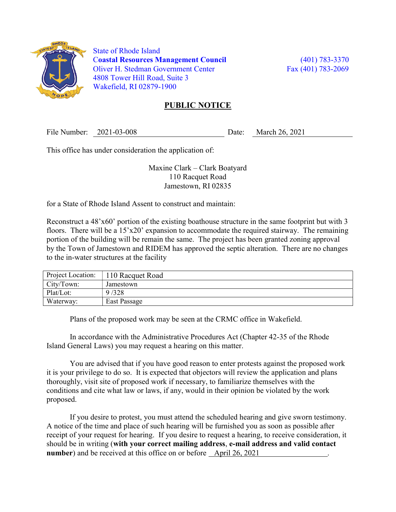

 State of Rhode Island Coastal Resources Management Council (401) 783-3370 Oliver H. Stedman Government Center Fax (401) 783-2069 4808 Tower Hill Road, Suite 3 Wakefield, RI 02879-1900

## PUBLIC NOTICE

File Number: 2021-03-008 Date: March 26, 2021

This office has under consideration the application of:

Maxine Clark – Clark Boatyard 110 Racquet Road Jamestown, RI 02835

for a State of Rhode Island Assent to construct and maintain:

Reconstruct a 48'x60' portion of the existing boathouse structure in the same footprint but with 3 floors. There will be a 15'x20' expansion to accommodate the required stairway. The remaining portion of the building will be remain the same. The project has been granted zoning approval by the Town of Jamestown and RIDEM has approved the septic alteration. There are no changes to the in-water structures at the facility

| Project Location: | 110 Racquet Road |
|-------------------|------------------|
| City/Town:        | Jamestown        |
| Plat/Lot:         | 9/328            |
| Waterway:         | East Passage     |

Plans of the proposed work may be seen at the CRMC office in Wakefield.

In accordance with the Administrative Procedures Act (Chapter 42-35 of the Rhode Island General Laws) you may request a hearing on this matter.

You are advised that if you have good reason to enter protests against the proposed work it is your privilege to do so. It is expected that objectors will review the application and plans thoroughly, visit site of proposed work if necessary, to familiarize themselves with the conditions and cite what law or laws, if any, would in their opinion be violated by the work proposed.

If you desire to protest, you must attend the scheduled hearing and give sworn testimony. A notice of the time and place of such hearing will be furnished you as soon as possible after receipt of your request for hearing. If you desire to request a hearing, to receive consideration, it should be in writing (with your correct mailing address, e-mail address and valid contact number) and be received at this office on or before April 26, 2021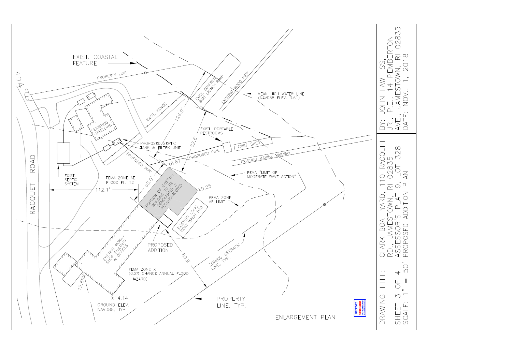